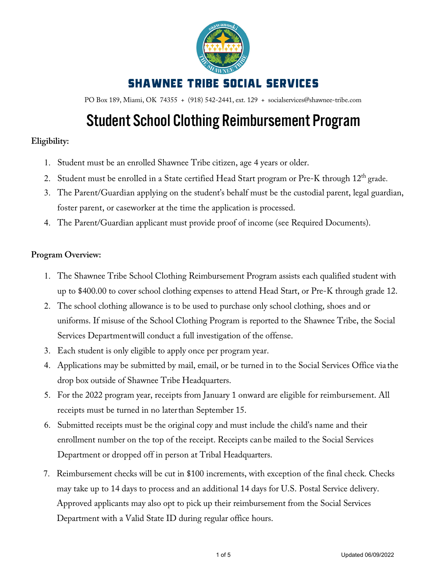

PO Box 189, Miami, OK 74355 + (918) 542-2441, ext. 129 + socialservices@shawnee-tribe.com

# Student School Clothing Reimbursement Program

### **Eligibility:**

- 1. Student must be an enrolled Shawnee Tribe citizen, age 4 years or older.
- 2. Student must be enrolled in a State certified Head Start program or Pre-K through 12<sup>th</sup> grade.
- 3. The Parent/Guardian applying on the student's behalf must be the custodial parent, legal guardian, foster parent, or caseworker at the time the application is processed.
- 4. The Parent/Guardian applicant must provide proof of income (see Required Documents).

### **Program Overview:**

- 1. The Shawnee Tribe School Clothing Reimbursement Program assists each qualified student with up to \$400.00 to cover school clothing expenses to attend Head Start, or Pre-K through grade 12.
- 2. The school clothing allowance is to be used to purchase only school clothing, shoes and or uniforms. If misuse of the School Clothing Program is reported to the Shawnee Tribe, the Social Services Departmentwill conduct a full investigation of the offense.
- 3. Each student is only eligible to apply once per program year.
- 4. Applications may be submitted by mail, email, or be turned in to the Social Services Office via the drop box outside of Shawnee Tribe Headquarters.
- 5. For the 2022 program year, receipts from January 1 onward are eligible for reimbursement. All receipts must be turned in no laterthan September 15.
- 6. Submitted receipts must be the original copy and must include the child's name and their enrollment number on the top of the receipt. Receipts can be mailed to the Social Services Department or dropped off in person at Tribal Headquarters.
- 7. Reimbursement checks will be cut in \$100 increments, with exception of the final check. Checks may take up to 14 days to process and an additional 14 days for U.S. Postal Service delivery. Approved applicants may also opt to pick up their reimbursement from the Social Services Department with a Valid State ID during regular office hours.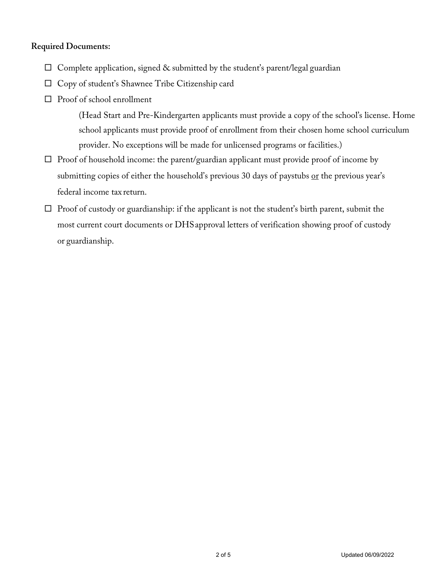### **Required Documents:**

- $\Box$  Complete application, signed & submitted by the student's parent/legal guardian
- □ Copy of student's Shawnee Tribe Citizenship card
- $\square$  Proof of school enrollment

(Head Start and Pre-Kindergarten applicants must provide a copy of the school's license. Home school applicants must provide proof of enrollment from their chosen home school curriculum provider. No exceptions will be made for unlicensed programs or facilities.)

- $\Box$  Proof of household income: the parent/guardian applicant must provide proof of income by submitting copies of either the household's previous 30 days of paystubs or the previous year's federal income tax return.
- $\Box$  Proof of custody or guardianship: if the applicant is not the student's birth parent, submit the most current court documents or DHSapproval letters of verification showing proof of custody or guardianship.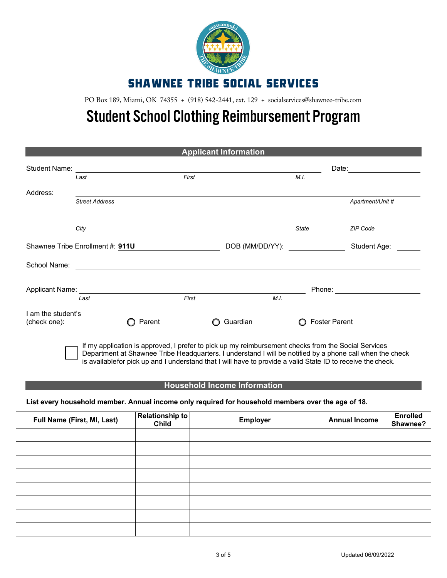

PO Box 189, Miami, OK 74355 + (918) 542-2441, ext. 129 + socialservices@shawnee-tribe.com

## Student School Clothing Reimbursement Program

| <b>Applicant Information</b>       |                                  |                                                                                                                      |       |                 |       |                      |
|------------------------------------|----------------------------------|----------------------------------------------------------------------------------------------------------------------|-------|-----------------|-------|----------------------|
| <b>Student Name:</b>               | Last                             |                                                                                                                      | First |                 | M.I.  | Date:                |
| Address:                           |                                  |                                                                                                                      |       |                 |       |                      |
|                                    | <b>Street Address</b>            |                                                                                                                      |       |                 |       | Apartment/Unit #     |
|                                    | City                             |                                                                                                                      |       |                 | State | ZIP Code             |
|                                    | Shawnee Tribe Enrollment #: 911U |                                                                                                                      |       | DOB (MM/DD/YY): |       | Student Age:         |
| School Name:                       |                                  | <u> 1980 - John Stein, mars and de Britain and de Britain and de Britain and de Britain and de Britain and de Br</u> |       |                 |       |                      |
| Applicant Name:                    | Last                             |                                                                                                                      | First | M.I.            |       | Phone:               |
| I am the student's<br>(check one): |                                  | Parent                                                                                                               |       | Guardian        |       | <b>Foster Parent</b> |

If my application is approved, I prefer to pick up my reimbursement checks from the Social Services Department at Shawnee Tribe Headquarters. I understand I will be notified by a phone call when the check is availablefor pick up and I understand that I will have to provide a valid State ID to receive the check.

#### **Household Income Information**

#### **List every household member. Annual income only required for household members over the age of 18.**

| Full Name (First, MI, Last) | <b>Relationship to</b><br><b>Child</b> | Employer | <b>Annual Income</b> | <b>Enrolled</b><br>Shawnee? |
|-----------------------------|----------------------------------------|----------|----------------------|-----------------------------|
|                             |                                        |          |                      |                             |
|                             |                                        |          |                      |                             |
|                             |                                        |          |                      |                             |
|                             |                                        |          |                      |                             |
|                             |                                        |          |                      |                             |
|                             |                                        |          |                      |                             |
|                             |                                        |          |                      |                             |
|                             |                                        |          |                      |                             |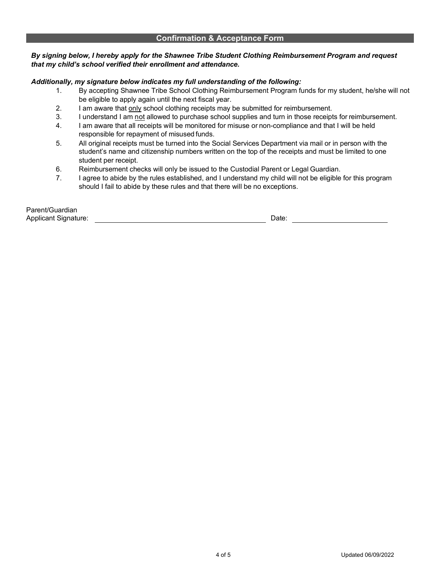#### **Confirmation & Acceptance Form**

#### *By signing below, I hereby apply for the Shawnee Tribe Student Clothing Reimbursement Program and request that my child's school verified their enrollment and attendance.*

#### *Additionally, my signature below indicates my full understanding of the following:*

- 1. By accepting Shawnee Tribe School Clothing Reimbursement Program funds for my student, he/she will not be eligible to apply again until the next fiscal year.
- 2. I am aware that only school clothing receipts may be submitted for reimbursement.
- 3. I understand I am not allowed to purchase school supplies and turn in those receipts for reimbursement.
- 4. I am aware that all receipts will be monitored for misuse or non-compliance and that I will be held responsible for repayment of misused funds.
- 5. All original receipts must be turned into the Social Services Department via mail or in person with the student's name and citizenship numbers written on the top of the receipts and must be limited to one student per receipt.
- 6. Reimbursement checks will only be issued to the Custodial Parent or Legal Guardian.
- 7. I agree to abide by the rules established, and I understand my child will not be eligible for this program should I fail to abide by these rules and that there will be no exceptions.

| Parent/Guardian             |      |  |
|-----------------------------|------|--|
| <b>Applicant Signature:</b> | Date |  |